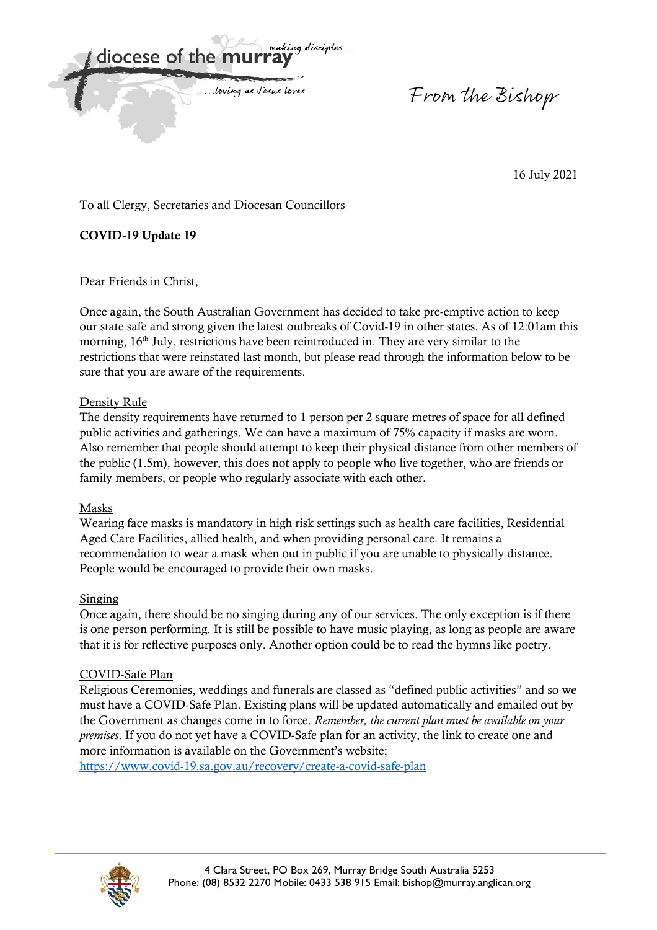

From the Bishop

16 July 2021

To all Clergy, Secretaries and Diocesan Councillors

**COVID-19 Update 19** 

Dear Friends in Christ,

Once again, the South Australian Government has decided to take pre-emptive action to keep our state safe and strong given the latest outbreaks of Covid-19 in other states. As of 12:01am this morning, 16<sup>th</sup> July, restrictions have been reintroduced in. They are very similar to the restrictions that were reinstated last month, but please read through the information below to be sure that you are aware of the requirements.

# Density Rule

The density requirements have returned to 1 person per 2 square metres of space for all defined public activities and gatherings. We can have a maximum of 75% capacity if masks are worn. Also remember that people should attempt to keep their physical distance from other members of the public (1.5m), however, this does not apply to people who live together, who are friends or family members, or people who regularly associate with each other.

# Masks

Wearing face masks is mandatory in high risk settings such as health care facilities, Residential Aged Care Facilities, allied health, and when providing personal care. It remains a recommendation to wear a mask when out in public if you are unable to physically distance. People would be encouraged to provide their own masks.

# Singing

Once again, there should be no singing during any of our services. The only exception is if there is one person performing. It is still be possible to have music playing, as long as people are aware that it is for reflective purposes only. Another option could be to read the hymns like poetry.

# COVID-Safe Plan

Religious Ceremonies, weddings and funerals are classed as "defined public activities" and so we must have a COVID-Safe Plan. Existing plans will be updated automatically and emailed out by the Government as changes come in to force. *Remember, the current plan must be available on your premises*. If you do not yet have a COVID-Safe plan for an activity, the link to create one and more information is available on the Government's website;

https://www.covid-19.sa.gov.au/recovery/create-a-covid-safe-plan

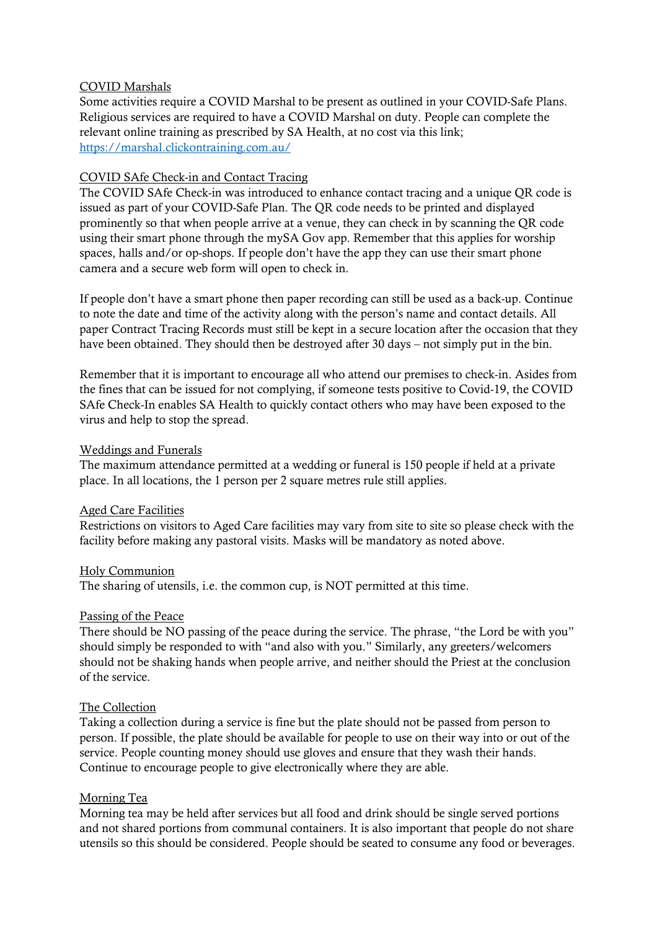#### COVID Marshals

Some activities require a COVID Marshal to be present as outlined in your COVID-Safe Plans. Religious services are required to have a COVID Marshal on duty. People can complete the relevant online training as prescribed by SA Health, at no cost via this link; https://marshal.clickontraining.com.au/

### COVID SAfe Check-in and Contact Tracing

The COVID SAfe Check-in was introduced to enhance contact tracing and a unique QR code is issued as part of your COVID-Safe Plan. The QR code needs to be printed and displayed prominently so that when people arrive at a venue, they can check in by scanning the QR code using their smart phone through the mySA Gov app. Remember that this applies for worship spaces, halls and/or op-shops. If people don't have the app they can use their smart phone camera and a secure web form will open to check in.

If people don't have a smart phone then paper recording can still be used as a back-up. Continue to note the date and time of the activity along with the person's name and contact details. All paper Contract Tracing Records must still be kept in a secure location after the occasion that they have been obtained. They should then be destroyed after 30 days – not simply put in the bin.

Remember that it is important to encourage all who attend our premises to check-in. Asides from the fines that can be issued for not complying, if someone tests positive to Covid-19, the COVID SAfe Check-In enables SA Health to quickly contact others who may have been exposed to the virus and help to stop the spread.

### Weddings and Funerals

The maximum attendance permitted at a wedding or funeral is 150 people if held at a private place. In all locations, the 1 person per 2 square metres rule still applies.

### Aged Care Facilities

Restrictions on visitors to Aged Care facilities may vary from site to site so please check with the facility before making any pastoral visits. Masks will be mandatory as noted above.

#### Holy Communion

The sharing of utensils, i.e. the common cup, is NOT permitted at this time.

#### Passing of the Peace

There should be NO passing of the peace during the service. The phrase, "the Lord be with you" should simply be responded to with "and also with you." Similarly, any greeters/welcomers should not be shaking hands when people arrive, and neither should the Priest at the conclusion of the service.

### The Collection

Taking a collection during a service is fine but the plate should not be passed from person to person. If possible, the plate should be available for people to use on their way into or out of the service. People counting money should use gloves and ensure that they wash their hands. Continue to encourage people to give electronically where they are able.

### Morning Tea

Morning tea may be held after services but all food and drink should be single served portions and not shared portions from communal containers. It is also important that people do not share utensils so this should be considered. People should be seated to consume any food or beverages.